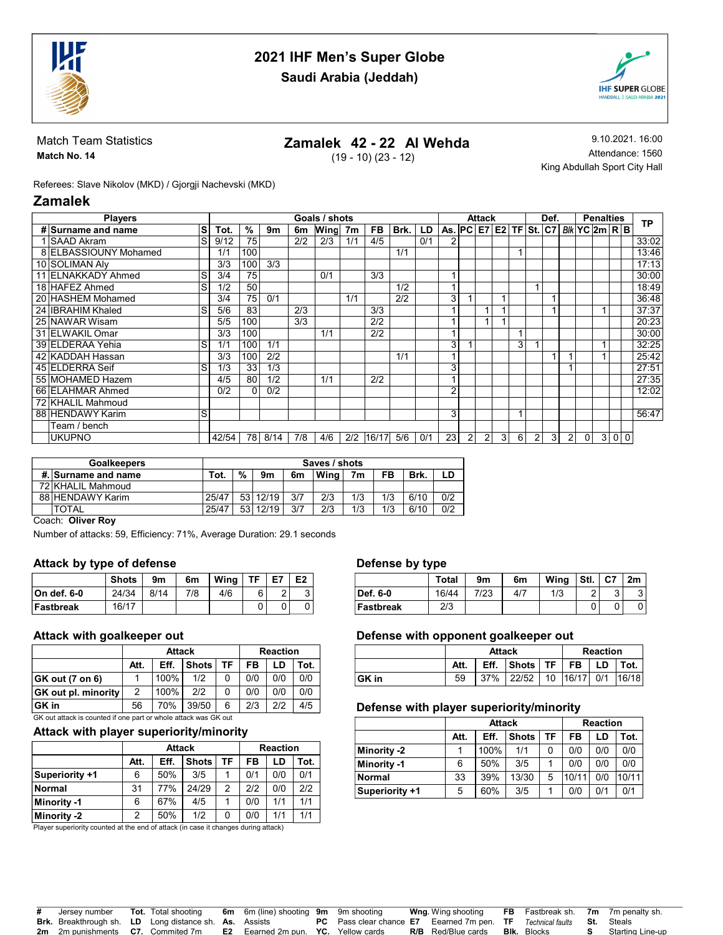

# 2021 IHF Men's Super Globe Saudi Arabia (Jeddah)



#### Match Team Statistics Match No. 14

# Zamalek 42 - 22 Al Wehda

(19 - 10) (23 - 12)

9.10.2021. 16:00 Attendance: 1560 King Abdullah Sport City Hall

Referees: Slave Nikolov (MKD) / Gjorgji Nachevski (MKD)

# Zamalek

| <b>Players</b>        |    |       |     |      |     | Goals / shots |                |           |      |     | <b>Attack</b>   |   |                |                                   | Def. |                |   | <b>Penalties</b> |               |                | TP             |       |
|-----------------------|----|-------|-----|------|-----|---------------|----------------|-----------|------|-----|-----------------|---|----------------|-----------------------------------|------|----------------|---|------------------|---------------|----------------|----------------|-------|
| # Surname and name    | ls | Tot.  | %   | 9m   | 6m  | Wing          | 7 <sub>m</sub> | <b>FB</b> | Brk. | LD  |                 |   |                | As. $PC$ $E7$ $E2$ $TF$ $St$ $C7$ |      |                |   |                  | BIk YC 2m R B |                |                |       |
| <b>SAAD Akram</b>     | lS | 9/12  | 75  |      | 2/2 | 2/3           | 1/1            | 4/5       |      | 0/1 |                 |   |                |                                   |      |                |   |                  |               |                |                | 33:02 |
| 8 ELBASSIOUNY Mohamed |    | 1/1   | 100 |      |     |               |                |           | 1/1  |     |                 |   |                |                                   |      |                |   |                  |               |                |                | 13:46 |
| 10 SOLIMAN AIV        |    | 3/3   | 100 | 3/3  |     |               |                |           |      |     |                 |   |                |                                   |      |                |   |                  |               |                |                | 17:13 |
| 11 ELNAKKADY Ahmed    | S  | 3/4   | 75  |      |     | 0/1           |                | 3/3       |      |     |                 |   |                |                                   |      |                |   |                  |               |                |                | 30:00 |
| 18 HAFEZ Ahmed        | S  | 1/2   | 50  |      |     |               |                |           | 1/2  |     |                 |   |                |                                   |      |                |   |                  |               |                |                | 18:49 |
| 20 HASHEM Mohamed     |    | 3/4   | 75  | 0/1  |     |               | 1/1            |           | 2/2  |     | 3               |   |                |                                   |      |                |   |                  |               |                |                | 36:48 |
| 24 IBRAHIM Khaled     | S  | 5/6   | 83  |      | 2/3 |               |                | 3/3       |      |     |                 |   |                |                                   |      |                |   |                  |               |                |                | 37:37 |
| 25 NAWAR Wisam        |    | 5/5   | 100 |      | 3/3 |               |                | 2/2       |      |     |                 |   |                |                                   |      |                |   |                  |               |                |                | 20:23 |
| 31 ELWAKIL Omar       |    | 3/3   | 100 |      |     | 1/1           |                | 2/2       |      |     |                 |   |                |                                   |      |                |   |                  |               |                |                | 30:00 |
| 39 ELDERAA Yehia      | S  | 1/1   | 100 | 1/1  |     |               |                |           |      |     | 3               |   |                |                                   | 3    |                |   |                  |               |                |                | 32:25 |
| 42 KADDAH Hassan      |    | 3/3   | 100 | 2/2  |     |               |                |           | 1/1  |     |                 |   |                |                                   |      |                |   |                  |               |                |                | 25:42 |
| 45 ELDERRA Seif       | S  | 1/3   | 33  | 1/3  |     |               |                |           |      |     | 3               |   |                |                                   |      |                |   |                  |               |                |                | 27:51 |
| 55 MOHAMED Hazem      |    | 4/5   | 80  | 1/2  |     | 1/1           |                | 2/2       |      |     |                 |   |                |                                   |      |                |   |                  |               |                |                | 27:35 |
| 66 ELAHMAR Ahmed      |    | 0/2   | 0   | 0/2  |     |               |                |           |      |     | 2               |   |                |                                   |      |                |   |                  |               |                |                | 12:02 |
| 72 KHALIL Mahmoud     |    |       |     |      |     |               |                |           |      |     |                 |   |                |                                   |      |                |   |                  |               |                |                |       |
| 88 HENDAWY Karim      | S  |       |     |      |     |               |                |           |      |     | 3               |   |                |                                   |      |                |   |                  |               |                |                | 56:47 |
| Team / bench          |    |       |     |      |     |               |                |           |      |     |                 |   |                |                                   |      |                |   |                  |               |                |                |       |
| <b>UKUPNO</b>         |    | 42/54 | 78  | 8/14 | 7/8 | 4/6           | 2/2            | 16/17     | 5/6  | 0/1 | 23 <sub>1</sub> | 2 | 2 <sub>1</sub> | 3 <sup>1</sup>                    | 6    | $\overline{2}$ | 3 | $\overline{2}$   | $\mathbf{0}$  | 3 <sup>1</sup> | 0 <sup>1</sup> |       |

| <b>Goalkeepers</b>  | Saves / shots |                 |       |     |      |     |     |      |     |  |  |
|---------------------|---------------|-----------------|-------|-----|------|-----|-----|------|-----|--|--|
| #. Surname and name | Tot.          | %               | 9m    | 6m  | Wina | 7m  | FB  | Brk. | LD  |  |  |
| 72 KHALIL Mahmoud   |               |                 |       |     |      |     |     |      |     |  |  |
| 88 HENDAWY Karim    | 25/47         | 53 <sub>1</sub> | 12/19 | 3/7 | 2/3  | 1/3 | 1/3 | 6/10 | 0/2 |  |  |
| <b>TOTAL</b>        | 25/47         | 53.             | 12/19 | 3/7 | 2/3  | 1/3 | 1/3 | 6/10 | 0/2 |  |  |

Coach: Oliver Roy

Number of attacks: 59, Efficiency: 71%, Average Duration: 29.1 seconds

#### Attack by type of defense

|              | Shots | 9m   | 6m  | Wina | <b>TF</b> | E7            | E <sub>2</sub> |
|--------------|-------|------|-----|------|-----------|---------------|----------------|
| ∣On def. 6-0 | 24/34 | 8/14 | 7/8 | 4/6  | 6         | ົ<br><u>.</u> | ◠<br>J         |
| ∣Fastbreak   | 16/17 |      |     |      |           |               |                |

#### Attack with goalkeeper out

|                                                                 |      | <b>Attack</b> | <b>Reaction</b> |    |     |     |      |  |  |
|-----------------------------------------------------------------|------|---------------|-----------------|----|-----|-----|------|--|--|
|                                                                 | Att. | Eff.          | Shots           | TF | FB  | LD  | Tot. |  |  |
| GK out (7 on 6)                                                 |      | 100%          | 1/2             | 0  | 0/0 | 0/0 | 0/0  |  |  |
| <b>GK</b> out pl. minority                                      | 2    | 100%          | 2/2             | 0  | 0/0 | 0/0 | 0/0  |  |  |
| ∣GK in                                                          | 56   | 70%           | 39/50           | 6  | 2/3 | 212 | 4/5  |  |  |
| GK out attack is counted if one part or whole attack was GK out |      |               |                 |    |     |     |      |  |  |

#### Attack with player superiority/minority

|                |      | <b>Attack</b> | <b>Reaction</b> |               |     |     |      |
|----------------|------|---------------|-----------------|---------------|-----|-----|------|
|                | Att. | Eff.          | <b>Shots</b>    | TF            | FB  | LD  | Tot. |
| Superiority +1 | 6    | 50%           | 3/5             |               | 0/1 | 0/0 | 0/1  |
| Normal         | 31   | 77%           | 24/29           | $\mathcal{P}$ | 212 | 0/0 | 212  |
| Minority -1    | 6    | 67%           | 4/5             |               | 0/0 | 1/1 | 1/1  |
| Minority -2    | 2    | 50%           | 1/2             | 0             | 0/0 | 1/1 | 1/1  |

Player superiority counted at the end of attack (in case it changes during attack)

#### Defense by type

| -         | --           |      |     |      |      |        |        |
|-----------|--------------|------|-----|------|------|--------|--------|
|           | <b>Total</b> | 9m   | 6m  | Wina | Stl. | . I C7 | 2m     |
| Def. 6-0  | 16/44        | 7/23 | 4/7 | 1/3  | ົ    | ົ      | ົ<br>ັ |
| Fastbreak | 2/3          |      |     |      |      |        |        |

#### Defense with opponent goalkeeper out

|        |      | <b>Attack</b> | <b>Reaction</b>                  |  |  |  |  |
|--------|------|---------------|----------------------------------|--|--|--|--|
|        | Att. |               | Eff. Shots   TF   FB   LD   Tot. |  |  |  |  |
| ∣GK in | 59   |               | 37% 22/52 10 16/17 0/1 16/18     |  |  |  |  |

#### Defense with player superiority/minority

|                |      | <b>Attack</b> | <b>Reaction</b> |    |       |     |       |
|----------------|------|---------------|-----------------|----|-------|-----|-------|
|                | Att. | Eff.          | <b>Shots</b>    | TF | FB    | LD  | Tot.  |
| Minority -2    |      | 100%          | 1/1             |    | 0/0   | 0/0 | 0/0   |
| Minority -1    | 6    | 50%           | 3/5             |    | 0/0   | 0/0 | 0/0   |
| <b>Normal</b>  | 33   | 39%           | 13/30           | 5  | 10/11 | 0/0 | 10/11 |
| Superiority +1 | 5    | 60%           | 3/5             |    | 0/0   | 0/1 | 0/1   |

| # Jersev number                                               |  | Tot. Total shooting 6m 6m (line) shooting 9m 9m shooting                                          |                                                                               | <b>Wng</b> Wing shooting                     | <b>FB</b> Fastbreak sh. 7m 7m penalty sh. |                           |
|---------------------------------------------------------------|--|---------------------------------------------------------------------------------------------------|-------------------------------------------------------------------------------|----------------------------------------------|-------------------------------------------|---------------------------|
| <b>Brk.</b> Breakthrough sh. LD Long distance sh. As. Assists |  |                                                                                                   | <b>PC</b> Pass clear chance E7 Eearned 7m pen. TF Technical faults St. Steals |                                              |                                           |                           |
|                                                               |  | <b>2m</b> 2m punishments <b>C7.</b> Commited 7m <b>E2</b> Eearned 2m pun. <b>YC.</b> Yellow cards |                                                                               | <b>R/B</b> Red/Blue cards <b>Blk.</b> Blocks |                                           | <b>S</b> Starting Line-up |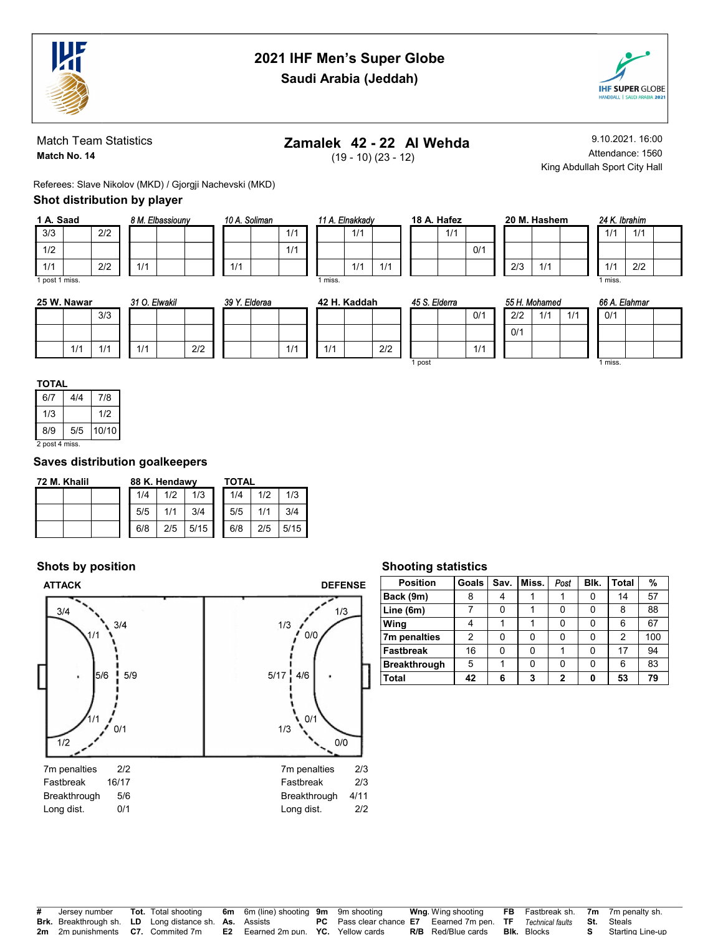

# 2021 IHF Men's Super Globe



Saudi Arabia (Jeddah)

#### Match Team Statistics Match No. 14

# Zamalek 42 - 22 Al Wehda

(19 - 10) (23 - 12)

9.10.2021. 16:00 Attendance: 1560 King Abdullah Sport City Hall

Referees: Slave Nikolov (MKD) / Gjorgji Nachevski (MKD)

### Shot distribution by player

| 1 A. Saad      |     |     | 8 M. Elbassiouny |  |
|----------------|-----|-----|------------------|--|
| 3/3            | 2/2 |     |                  |  |
| 1/2            |     |     |                  |  |
| 1/1            | 2/2 | 1/1 |                  |  |
| 1 post 1 miss. |     |     |                  |  |

| 10 A. Soliman |     |  | 11 A. Elnakkady |  |
|---------------|-----|--|-----------------|--|
|               | 1/1 |  | 1/1             |  |
|               | 1/1 |  |                 |  |
| 1/1           |     |  | 1/1             |  |

| 18 A. Hafez |     |     |  |  |  |  |  |  |  |  |
|-------------|-----|-----|--|--|--|--|--|--|--|--|
|             | 1/1 |     |  |  |  |  |  |  |  |  |
|             |     | 0/1 |  |  |  |  |  |  |  |  |
|             |     |     |  |  |  |  |  |  |  |  |

|     | 20 M. Hashem |  | 24 K |
|-----|--------------|--|------|
|     |              |  | 1/1  |
|     |              |  |      |
| 2/3 | 1/1          |  | 1/1  |

| 24 K. Ibrahim |     |  |
|---------------|-----|--|
| 1/1           | 1/1 |  |
|               |     |  |
| 1/1           | 2/2 |  |
| miss.         |     |  |

| 25 W. Nawar |     | 31 O. Elwakil |     | 39 Y. Elderaa |     |     | 42 H. Kaddah |     | 45 S. Elderra |     | 55 H. Mohamed |     |     | 66 A. Elahmar      |  |
|-------------|-----|---------------|-----|---------------|-----|-----|--------------|-----|---------------|-----|---------------|-----|-----|--------------------|--|
|             | 3/3 |               |     |               |     |     |              |     |               | 0/1 | 2/2           | 111 | 1/1 | 0/1                |  |
|             |     |               |     |               |     |     |              |     |               |     | 0/1           |     |     |                    |  |
| 1/1         | 414 | 1/1           | 2/2 |               | 111 | 1/1 |              | 2/2 |               | 1/1 |               |     |     |                    |  |
|             |     |               |     |               |     |     |              |     | post          |     |               |     |     | <sup>1</sup> miss. |  |

1 miss.

1/1 1/1

| 6/7            | 4/4 | 7/8   |
|----------------|-----|-------|
| 1/3            |     | 1/2   |
| 8/9            | 5/5 | 10/10 |
| 2 post 4 miss. |     |       |

# Saves distribution goalkeepers

| 72 M. Khalil | 88 K. Hendawy |     |      | TOTAL |     |      |  |  |  |
|--------------|---------------|-----|------|-------|-----|------|--|--|--|
|              | 1/4           | 1/2 | 1/3  | 1/4   | 1/2 | 1/3  |  |  |  |
|              | 5/5           |     | 3/4  | 5/5   |     | 3/4  |  |  |  |
|              | 6/8           | 2/5 | 5/15 | 6/8   | 2/5 | 5/15 |  |  |  |

# Shots by position



### Shooting statistics

| <b>Position</b>     | Goals | Sav. | Miss. | Post | Blk. | <b>Total</b> | %   |
|---------------------|-------|------|-------|------|------|--------------|-----|
| Back (9m)           | 8     | 4    |       |      |      | 14           | 57  |
| Line (6m)           |       | 0    |       | U    |      | 8            | 88  |
| Wing                |       |      |       | ŋ    | ი    | 6            | 67  |
| 7m penalties        | 2     | 0    | 0     | U    | O    | 2            | 100 |
| <b>Fastbreak</b>    | 16    | 0    | 0     |      | ŋ    | 17           | 94  |
| <b>Breakthrough</b> | 5     |      | 0     | U    | ŋ    | 6            | 83  |
| Total               | 42    | 6    | 3     | 2    | 0    | 53           | 79  |

| # Jersey number                                               |  | <b>Tot.</b> Total shooting 6m 6m (line) shooting 9m 9m shooting                                   |                                                                                                    | <b>Wng</b> Wing shooting  |                    | <b>FB</b> Fastbreak sh. 7m 7m penalty sh. |
|---------------------------------------------------------------|--|---------------------------------------------------------------------------------------------------|----------------------------------------------------------------------------------------------------|---------------------------|--------------------|-------------------------------------------|
| <b>Brk.</b> Breakthrough sh. LD Long distance sh. As. Assists |  |                                                                                                   | <b>PC</b> Pass clear chance <b>E7</b> Eearned 7m pen. <b>TF</b> Technical faults <b>St.</b> Steals |                           |                    |                                           |
|                                                               |  | <b>2m</b> 2m punishments <b>C7.</b> Commited 7m <b>E2</b> Eearned 2m pun. <b>YC.</b> Yellow cards |                                                                                                    | <b>R/B</b> Red/Blue cards | <b>Bik.</b> Blocks | <b>S</b> Starting Line-up                 |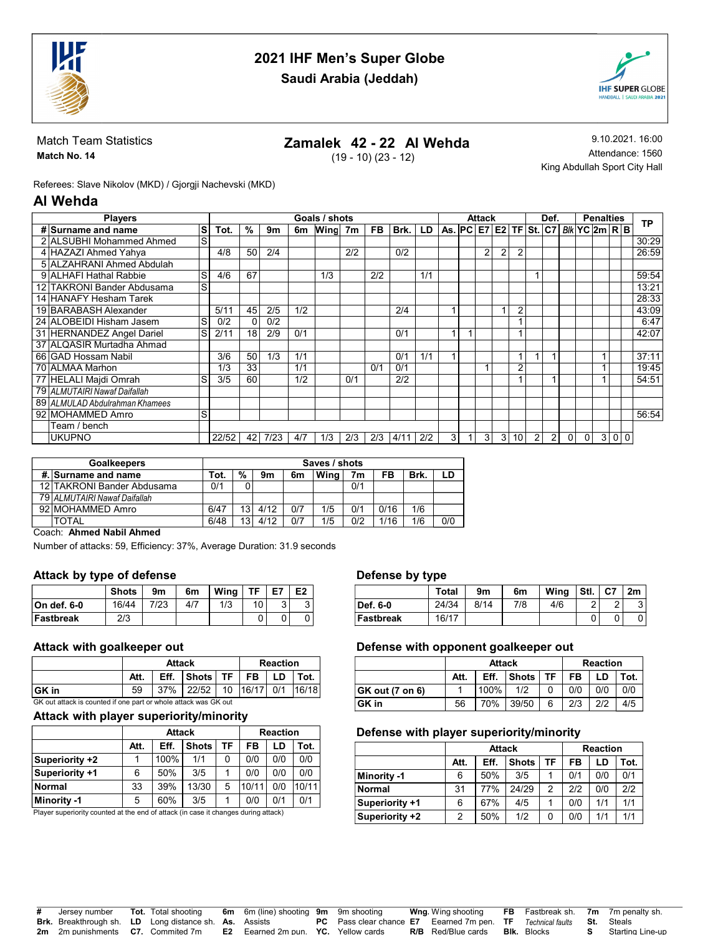

# 2021 IHF Men's Super Globe



Saudi Arabia (Jeddah)

#### Match Team Statistics Match No. 14

# Zamalek 42 - 22 Al Wehda

(19 - 10) (23 - 12)

9.10.2021. 16:00 Attendance: 1560 King Abdullah Sport City Hall

Referees: Slave Nikolov (MKD) / Gjorgji Nachevski (MKD)

# Al Wehda

| <b>Players</b>                 |    |       |    |      |     | Goals / shots |     |           |      |     |                                                   | Attack       |              |                | Def.           |                |          | <b>Penalties</b> |  |     | ТP    |
|--------------------------------|----|-------|----|------|-----|---------------|-----|-----------|------|-----|---------------------------------------------------|--------------|--------------|----------------|----------------|----------------|----------|------------------|--|-----|-------|
| # Surname and name             | ls | Tot.  | %  | 9m   | 6m  | Wing 7m       |     | <b>FB</b> | Brk. | LD  | $As.$ PC $E7$ $E2$ TF $St.$ C7 $Bk$ YC $2m$ R $B$ |              |              |                |                |                |          |                  |  |     |       |
| 2 ALSUBHI Mohammed Ahmed       | S  |       |    |      |     |               |     |           |      |     |                                                   |              |              |                |                |                |          |                  |  |     | 30:29 |
| 4 HAZAZI Ahmed Yahya           |    | 4/8   | 50 | 2/4  |     |               | 2/2 |           | 0/2  |     |                                                   | 2            | 2            | $\overline{2}$ |                |                |          |                  |  |     | 26:59 |
| 5 ALZAHRANI Ahmed Abdulah      |    |       |    |      |     |               |     |           |      |     |                                                   |              |              |                |                |                |          |                  |  |     |       |
| 9 ALHAFI Hathal Rabbie         | S  | 4/6   | 67 |      |     | 1/3           |     | 2/2       |      | 1/1 |                                                   |              |              |                |                |                |          |                  |  |     | 59:54 |
| 12 TAKRONI Bander Abdusama     | S  |       |    |      |     |               |     |           |      |     |                                                   |              |              |                |                |                |          |                  |  |     | 13:21 |
| 14 HANAFY Hesham Tarek         |    |       |    |      |     |               |     |           |      |     |                                                   |              |              |                |                |                |          |                  |  |     | 28:33 |
| 19 BARABASH Alexander          |    | 5/11  | 45 | 2/5  | 1/2 |               |     |           | 2/4  |     |                                                   |              |              | 2              |                |                |          |                  |  |     | 43:09 |
| 24 ALOBEIDI Hisham Jasem       | S  | 0/2   | 0  | 0/2  |     |               |     |           |      |     |                                                   |              |              |                |                |                |          |                  |  |     | 6:47  |
| 31 HERNANDEZ Angel Dariel      | S  | 2/11  | 18 | 2/9  | 0/1 |               |     |           | 0/1  |     |                                                   |              |              |                |                |                |          |                  |  |     | 42:07 |
| 37 ALQASIR Murtadha Ahmad      |    |       |    |      |     |               |     |           |      |     |                                                   |              |              |                |                |                |          |                  |  |     |       |
| 66 GAD Hossam Nabil            |    | 3/6   | 50 | 1/3  | 1/1 |               |     |           | 0/1  | 1/1 |                                                   |              |              |                |                | ٠              |          |                  |  |     | 37:11 |
| 70 ALMAA Marhon                |    | 1/3   | 33 |      | 1/1 |               |     | 0/1       | 0/1  |     |                                                   |              |              | 2              |                |                |          |                  |  |     | 19:45 |
| 77 HELALI Majdi Omrah          | S  | 3/5   | 60 |      | 1/2 |               | 0/1 |           | 2/2  |     |                                                   |              |              |                |                |                |          |                  |  |     | 54:51 |
| 79 ALMUTAIRI Nawaf Daifallah   |    |       |    |      |     |               |     |           |      |     |                                                   |              |              |                |                |                |          |                  |  |     |       |
| 89 ALMULAD Abdulrahman Khamees |    |       |    |      |     |               |     |           |      |     |                                                   |              |              |                |                |                |          |                  |  |     |       |
| 92 MOHAMMED Amro               | S  |       |    |      |     |               |     |           |      |     |                                                   |              |              |                |                |                |          |                  |  |     | 56:54 |
| Team / bench                   |    |       |    |      |     |               |     |           |      |     |                                                   |              |              |                |                |                |          |                  |  |     |       |
| <b>UKUPNO</b>                  |    | 22/52 | 42 | 7/23 | 4/7 | 1/3           | 2/3 | 2/3       | 4/11 | 2/2 | 3                                                 | $\mathbf{3}$ | $\mathbf{3}$ | 10             | $\overline{2}$ | $\overline{2}$ | $\Omega$ | $\Omega$         |  | 300 |       |

| <b>Goalkeepers</b>           |      |                 |      |     | Saves / shots |                |      |      |     |
|------------------------------|------|-----------------|------|-----|---------------|----------------|------|------|-----|
| #. Surname and name          | Tot. | %               | 9m   | 6m  | Wina          | 7 <sub>m</sub> | FB   | Brk. | LD  |
| 12 TAKRONI Bander Abdusama   | 0/1  |                 |      |     |               | 0/1            |      |      |     |
| 79 ALMUTAIRI Nawaf Daifallah |      |                 |      |     |               |                |      |      |     |
| 92 MOHAMMED Amro             | 6/47 | 13              | 4/12 | 0/7 | 1/5           | 0/1            | 0/16 | 1/6  |     |
| <b>TOTAL</b>                 | 6/48 | 13 <sub>1</sub> | 4/12 | 0/7 | 1/5           | 0/2            | 1/16 | 1/6  | 0/0 |

Coach: Ahmed Nabil Ahmed

Number of attacks: 59, Efficiency: 37%, Average Duration: 31.9 seconds

#### Attack by type of defense

|                  | <b>Shots</b> | 9m   | 6m  | Wina | ТE | E7     | E <sub>2</sub> |
|------------------|--------------|------|-----|------|----|--------|----------------|
| ∣On def. 6-0     | 16/44        | 7/23 | 4/7 | 1/3  | 10 | ີ<br>ັ | ◠<br>ັ         |
| <b>Fastbreak</b> | 2/3          |      |     |      |    |        |                |

#### Attack with goalkeeper out

|                                                                 |      | <b>Attack</b> |               |      | <b>Reaction</b><br>LD I<br>  37%   22/52   10   16/17   0/1   16/18 |      |  |  |  |  |  |
|-----------------------------------------------------------------|------|---------------|---------------|------|---------------------------------------------------------------------|------|--|--|--|--|--|
|                                                                 | Att. |               | Eff. Shots TF | FB I |                                                                     | Tot. |  |  |  |  |  |
| ∣GK in                                                          | 59   |               |               |      |                                                                     |      |  |  |  |  |  |
| GK out attack is counted if one part or whole attack was GK out |      |               |               |      |                                                                     |      |  |  |  |  |  |

#### Attack with player superiority/minority

|                |      | <b>Attack</b> | <b>Reaction</b> |    |       |     |       |
|----------------|------|---------------|-----------------|----|-------|-----|-------|
|                | Att. | Eff.          | <b>Shots</b>    | TF | FB    | LD  | Tot.  |
| Superiority +2 |      | 100%          | 1/1             | 0  | 0/0   | 0/0 | 0/0   |
| Superiority +1 | 6    | 50%           | 3/5             |    | 0/0   | 0/0 | 0/0   |
| <b>Normal</b>  | 33   | 39%           | 13/30           | 5  | 10/11 | 0/0 | 10/11 |
| Minority -1    | 5    | 60%           | 3/5             |    | 0/0   | 0/1 | 0/1   |

Player superiority counted at the end of attack (in case it changes during attack)

#### Defense by type

|            | <b>Total</b> | 9m   | 6m  | Wing | Stl.   | C7     | 2m     |
|------------|--------------|------|-----|------|--------|--------|--------|
| Def. 6-0   | 24/34        | 8/14 | 7/8 | 4/6  | $\sim$ | ົ<br>_ | ົ<br>J |
| ∣Fastbreak | 16/17        |      |     |      |        |        |        |

#### Defense with opponent goalkeeper out

|                 |      | <b>Attack</b> | <b>Reaction</b> |    |     |      |     |
|-----------------|------|---------------|-----------------|----|-----|------|-----|
|                 | Att. | Eff.          | <b>Shots</b>    | FB | LD  | Tot. |     |
| GK out (7 on 6) |      | 100%          | 1/2             |    | 0/0 | 0/0  | 0/0 |
| GK in           | 56   | 70%           | 39/50           | 6  | 2/3 | 212  | 4/5 |

#### Defense with player superiority/minority

|                |      | <b>Attack</b> | <b>Reaction</b> |    |     |     |      |
|----------------|------|---------------|-----------------|----|-----|-----|------|
|                | Att. | Eff.          | <b>Shots</b>    | TF | FB  | LD  | Tot. |
| Minority -1    | 6    | 50%           | 3/5             |    | 0/1 | 0/0 | 0/1  |
| <b>Normal</b>  | 31   | 77%           | 24/29           | 2  | 212 | 0/0 | 212  |
| Superiority +1 | 6    | 67%           | 4/5             |    | 0/0 | 1/1 | 1/1  |
| Superiority +2 | 2    | 50%           | 1/2             |    | 0/0 | 1/1 | 1/1  |

| # Jersev number | <b>Tot.</b> Total shooting                                    | <b>6m</b> 6m (line) shooting 9m 9m shooting                                                       |                                                                               | <b>Wng</b> Wing shooting                     |  | <b>FB</b> Fastbreak sh. 7m 7m penalty sh. |
|-----------------|---------------------------------------------------------------|---------------------------------------------------------------------------------------------------|-------------------------------------------------------------------------------|----------------------------------------------|--|-------------------------------------------|
|                 | <b>Brk.</b> Breakthrough sh. LD Long distance sh. As. Assists |                                                                                                   | <b>PC</b> Pass clear chance E7 Eearned 7m pen. TF Technical faults St. Steals |                                              |  |                                           |
|                 |                                                               | <b>2m</b> 2m punishments <b>C7.</b> Commited 7m <b>E2</b> Eearned 2m pun. <b>YC.</b> Yellow cards |                                                                               | <b>R/B</b> Red/Blue cards <b>Blk.</b> Blocks |  | Starting Line-up                          |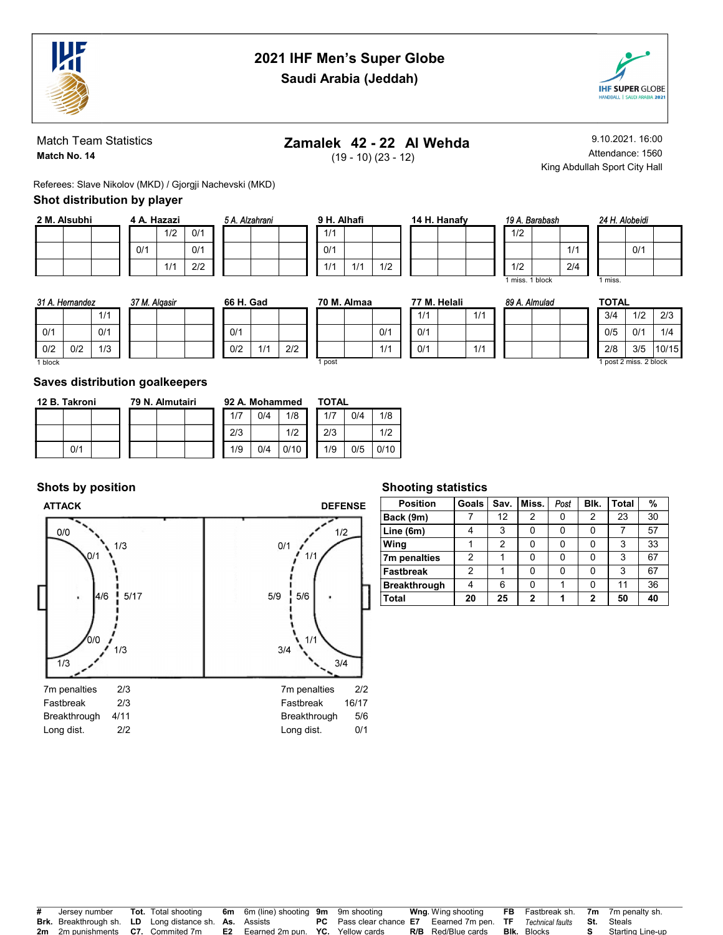

# 2021 IHF Men's Super Globe



Saudi Arabia (Jeddah)

#### Match Team Statistics Match No. 14

# Zamalek 42 - 22 Al Wehda

(19 - 10) (23 - 12)

9.10.2021. 16:00 Attendance: 1560 King Abdullah Sport City Hall

Referees: Slave Nikolov (MKD) / Gjorgji Nachevski (MKD)

### Shot distribution by player

| 2 M. Alsubhi |  |  | 4 A. Hazazi |     |     |
|--------------|--|--|-------------|-----|-----|
|              |  |  |             | 1/2 | 0/1 |
|              |  |  | 0/1         |     | 0/1 |
|              |  |  |             | 1/1 | 2/2 |

| 5 A. Alzahrani |  | 9 H. Alhafi |     |     |
|----------------|--|-------------|-----|-----|
|                |  | 1/1         |     |     |
|                |  | 0/1         |     |     |
|                |  | 1/1         | 1/1 | 1/2 |

| 14 H. Hanafy | 19 A. Barabash |
|--------------|----------------|
|              | 1/2            |
|              |                |
|              | 1/2            |

| 19 A. Barabas |  |
|---------------|--|
| 1/2           |  |
|               |  |
| 1/2           |  |
| miss. 1 block |  |

89 A. Almulad

1/1  $2/4$ 

|       | 24 H. Alobeidi |  |  |  |  |  |  |  |  |
|-------|----------------|--|--|--|--|--|--|--|--|
|       |                |  |  |  |  |  |  |  |  |
|       | 0/1            |  |  |  |  |  |  |  |  |
|       |                |  |  |  |  |  |  |  |  |
| miss. |                |  |  |  |  |  |  |  |  |

| 31 A. Hemandez    |  |     |  |  |  |  |  |  |
|-------------------|--|-----|--|--|--|--|--|--|
|                   |  | 1/1 |  |  |  |  |  |  |
| 0/1               |  | 0/1 |  |  |  |  |  |  |
| 0/2<br>0/2<br>1/3 |  |     |  |  |  |  |  |  |
| 1 block           |  |     |  |  |  |  |  |  |

| 37 M. Algasir |     | 66 H. Gad |  |  |
|---------------|-----|-----------|--|--|
|               |     |           |  |  |
|               | 0/1 |           |  |  |
|               | 0/2 | 1/1       |  |  |

| ad  |     | 70 M. Almaa |  |     |  |  |  |  |  |  |  |
|-----|-----|-------------|--|-----|--|--|--|--|--|--|--|
|     |     |             |  |     |  |  |  |  |  |  |  |
|     |     |             |  | 0/1 |  |  |  |  |  |  |  |
| 1/1 | 2/2 |             |  | 1/1 |  |  |  |  |  |  |  |
|     |     | 1 post      |  |     |  |  |  |  |  |  |  |

| 77 M. Helali |     |
|--------------|-----|
| 1/1          | 1/1 |
| 0/1          |     |
| 0/1          | 1/1 |

|  | <b>TOTAL</b> |     |       |
|--|--------------|-----|-------|
|  | 3/4          | 1/2 | 2/3   |
|  | 0/5          | 0/1 | 1/4   |
|  | 2/8          | 3/5 | 10/15 |

1 post 2 miss. 2 block

#### Saves distribution goalkeepers

| 12 B. Takroni |     |  |  | 79 N. Almutairi |  | 92 A. Mohammed |     |      | <b>TOTAL</b> |     |      |  |  |  |
|---------------|-----|--|--|-----------------|--|----------------|-----|------|--------------|-----|------|--|--|--|
|               |     |  |  |                 |  | 1/7            | 0/4 | 1/8  | 1/7          | 0/4 | 1/8  |  |  |  |
|               |     |  |  |                 |  | 2/3            |     | 1/2  | 2/3          |     | 1/2  |  |  |  |
|               | 0/1 |  |  |                 |  | 1/9            | 0/4 | 0/10 | 1/9          | 0/5 | 0/10 |  |  |  |

### Shots by position

Breakthrough 4/11 Long dist. 2/2

#### ATTACK DEFENSE



### Shooting statistics

| <b>Position</b>     | Goals | Sav. | Miss. | Post | Blk. | <b>Total</b> | %  |  |  |  |  |  |  |
|---------------------|-------|------|-------|------|------|--------------|----|--|--|--|--|--|--|
| Back (9m)           |       | 12   | 2     | 0    | 2    | 23           | 30 |  |  |  |  |  |  |
| Line (6m)           |       | 3    | 0     | ი    |      |              | 57 |  |  |  |  |  |  |
| Wing                |       | 2    | 0     | ŋ    |      | 3            | 33 |  |  |  |  |  |  |
| 7m penalties        | 2     |      | 0     | ი    |      | 3            | 67 |  |  |  |  |  |  |
| <b>Fastbreak</b>    | 2     |      |       | O    |      | 3            | 67 |  |  |  |  |  |  |
| <b>Breakthrough</b> |       | 6    | 0     |      |      | 11           | 36 |  |  |  |  |  |  |
| Total               | 20    | 25   | 2     |      | 2    | 50           | 40 |  |  |  |  |  |  |

| # Jersey number                                               |  | <b>Tot.</b> Total shooting 6m 6m (line) shooting 9m 9m shooting |                                                                               | <b>Wng</b> Wing shooting                     | <b>FB</b> Fastbreak sh. 7m 7m penalty sh. |                           |
|---------------------------------------------------------------|--|-----------------------------------------------------------------|-------------------------------------------------------------------------------|----------------------------------------------|-------------------------------------------|---------------------------|
| <b>Brk.</b> Breakthrough sh. LD Long distance sh. As. Assists |  |                                                                 | <b>PC</b> Pass clear chance E7 Eearned 7m pen. TF Technical faults St. Steals |                                              |                                           |                           |
| <b>2m</b> 2m punishments <b>C7.</b> Commited 7m               |  | <b>E2</b> Eearned 2m pun. YC. Yellow cards                      |                                                                               | <b>R/B</b> Red/Blue cards <b>Blk.</b> Blocks |                                           | <b>S</b> Starting Line-up |

Breakthrough 5/6 Long dist. 0/1